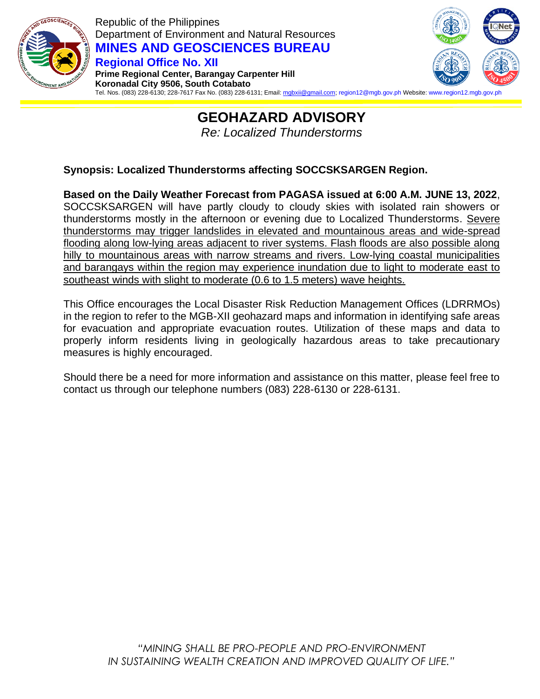

Republic of the Philippines Department of Environment and Natural Resources **MINES AND GEOSCIENCES BUREAU Regional Office No. XII Prime Regional Center, Barangay Carpenter Hill**



**Koronadal City 9506, South Cotabato** Tel. Nos. (083) 228-6130; 228-7617 Fax No. (083) 228-6131; Email: <u>mgbxii@gmail.com;</u> region12@mgb.gov.ph Website: www.region12.mgb.go

# **GEOHAZARD ADVISORY** *Re: Localized Thunderstorms*

### **Synopsis: Localized Thunderstorms affecting SOCCSKSARGEN Region.**

**Based on the Daily Weather Forecast from PAGASA issued at 6:00 A.M. JUNE 13, 2022**, SOCCSKSARGEN will have partly cloudy to cloudy skies with isolated rain showers or thunderstorms mostly in the afternoon or evening due to Localized Thunderstorms. Severe thunderstorms may trigger landslides in elevated and mountainous areas and wide-spread flooding along low-lying areas adjacent to river systems. Flash floods are also possible along hilly to mountainous areas with narrow streams and rivers. Low-lying coastal municipalities and barangays within the region may experience inundation due to light to moderate east to southeast winds with slight to moderate (0.6 to 1.5 meters) wave heights.

This Office encourages the Local Disaster Risk Reduction Management Offices (LDRRMOs) in the region to refer to the MGB-XII geohazard maps and information in identifying safe areas for evacuation and appropriate evacuation routes. Utilization of these maps and data to properly inform residents living in geologically hazardous areas to take precautionary measures is highly encouraged.

Should there be a need for more information and assistance on this matter, please feel free to contact us through our telephone numbers (083) 228-6130 or 228-6131.